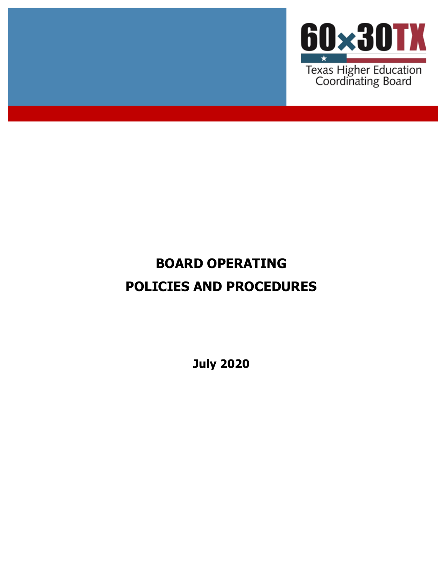

# **BOARD OPERATING POLICIES AND PROCEDURES**

**July 2020**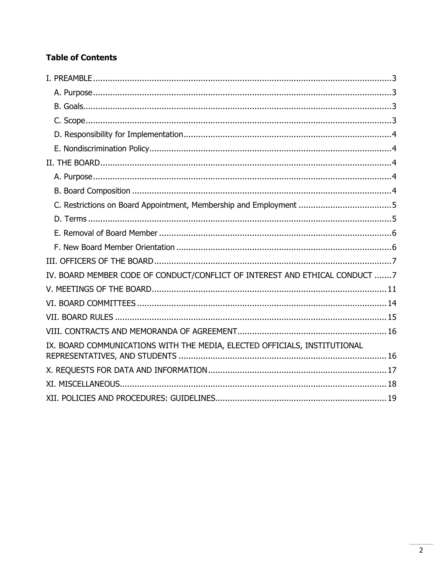# **Table of Contents**

<span id="page-1-0"></span>

| IV. BOARD MEMBER CODE OF CONDUCT/CONFLICT OF INTEREST AND ETHICAL CONDUCT 7 |
|-----------------------------------------------------------------------------|
|                                                                             |
|                                                                             |
|                                                                             |
|                                                                             |
| IX. BOARD COMMUNICATIONS WITH THE MEDIA, ELECTED OFFICIALS, INSTITUTIONAL   |
|                                                                             |
|                                                                             |
|                                                                             |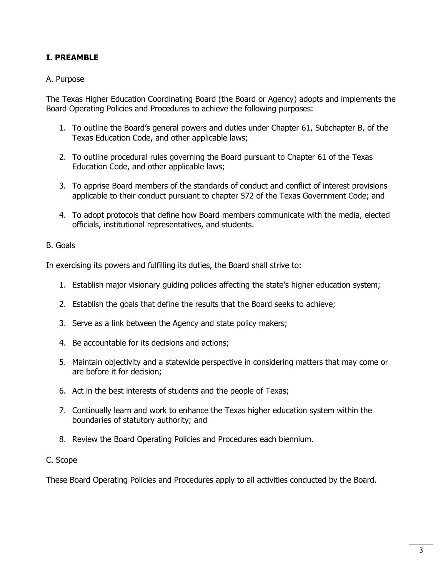# **I. PREAMBLE**

#### <span id="page-2-0"></span>A. Purpose

The Texas Higher Education Coordinating Board (the Board or Agency) adopts and implements the Board Operating Policies and Procedures to achieve the following purposes:

- 1. To outline the Board's general powers and duties under Chapter 61, Subchapter B, of the Texas Education Code, and other applicable laws;
- 2. To outline procedural rules governing the Board pursuant to Chapter 61 of the Texas Education Code, and other applicable laws;
- 3. To apprise Board members of the standards of conduct and conflict of interest provisions applicable to their conduct pursuant to chapter 572 of the Texas Government Code; and
- 4. To adopt protocols that define how Board members communicate with the media, elected officials, institutional representatives, and students.

#### <span id="page-2-1"></span>B. Goals

In exercising its powers and fulfilling its duties, the Board shall strive to:

- 1. Establish major visionary guiding policies affecting the state's higher education system;
- 2. Establish the goals that define the results that the Board seeks to achieve;
- 3. Serve as a link between the Agency and state policy makers;
- 4. Be accountable for its decisions and actions;
- 5. Maintain objectivity and a statewide perspective in considering matters that may come or are before it for decision;
- 6. Act in the best interests of students and the people of Texas;
- 7. Continually learn and work to enhance the Texas higher education system within the boundaries of statutory authority; and
- 8. Review the Board Operating Policies and Procedures each biennium.

#### <span id="page-2-2"></span>C. Scope

<span id="page-2-3"></span>These Board Operating Policies and Procedures apply to all activities conducted by the Board.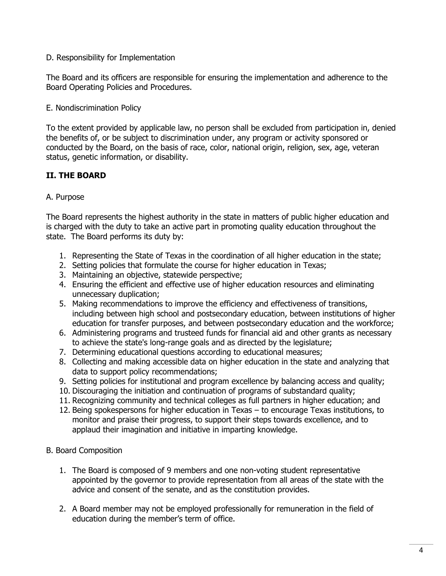#### D. Responsibility for Implementation

The Board and its officers are responsible for ensuring the implementation and adherence to the Board Operating Policies and Procedures.

#### <span id="page-3-0"></span>E. Nondiscrimination Policy

To the extent provided by applicable law, no person shall be excluded from participation in, denied the benefits of, or be subject to discrimination under, any program or activity sponsored or conducted by the Board, on the basis of race, color, national origin, religion, sex, age, veteran status, genetic information, or disability.

# <span id="page-3-1"></span>**II. THE BOARD**

#### <span id="page-3-2"></span>A. Purpose

The Board represents the highest authority in the state in matters of public higher education and is charged with the duty to take an active part in promoting quality education throughout the state. The Board performs its duty by:

- 1. Representing the State of Texas in the coordination of all higher education in the state;
- 2. Setting policies that formulate the course for higher education in Texas;
- 3. Maintaining an objective, statewide perspective;
- 4. Ensuring the efficient and effective use of higher education resources and eliminating unnecessary duplication;
- 5. Making recommendations to improve the efficiency and effectiveness of transitions, including between high school and postsecondary education, between institutions of higher education for transfer purposes, and between postsecondary education and the workforce;
- 6. Administering programs and trusteed funds for financial aid and other grants as necessary to achieve the state's long-range goals and as directed by the legislature;
- 7. Determining educational questions according to educational measures;
- 8. Collecting and making accessible data on higher education in the state and analyzing that data to support policy recommendations;
- 9. Setting policies for institutional and program excellence by balancing access and quality;
- 10. Discouraging the initiation and continuation of programs of substandard quality;
- 11. Recognizing community and technical colleges as full partners in higher education; and
- 12. Being spokespersons for higher education in Texas to encourage Texas institutions, to monitor and praise their progress, to support their steps towards excellence, and to applaud their imagination and initiative in imparting knowledge.

#### <span id="page-3-3"></span>B. Board Composition

- 1. The Board is composed of 9 members and one non-voting student representative appointed by the governor to provide representation from all areas of the state with the advice and consent of the senate, and as the constitution provides.
- 2. A Board member may not be employed professionally for remuneration in the field of education during the member's term of office.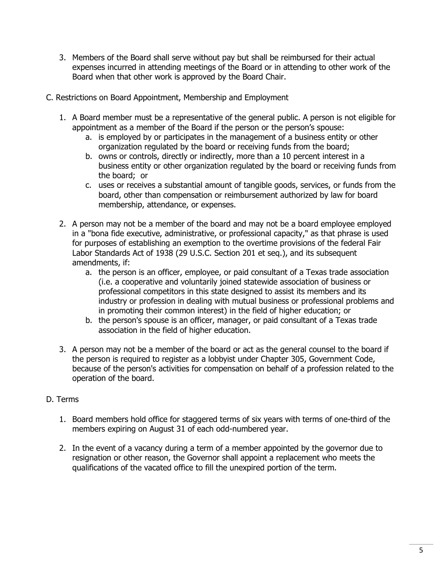- 3. Members of the Board shall serve without pay but shall be reimbursed for their actual expenses incurred in attending meetings of the Board or in attending to other work of the Board when that other work is approved by the Board Chair.
- <span id="page-4-0"></span>C. Restrictions on Board Appointment, Membership and Employment
	- 1. A Board member must be a representative of the general public. A person is not eligible for appointment as a member of the Board if the person or the person's spouse:
		- a. is employed by or participates in the management of a business entity or other organization regulated by the board or receiving funds from the board;
		- b. owns or controls, directly or indirectly, more than a 10 percent interest in a business entity or other organization regulated by the board or receiving funds from the board; or
		- c. uses or receives a substantial amount of tangible goods, services, or funds from the board, other than compensation or reimbursement authorized by law for board membership, attendance, or expenses.
	- 2. A person may not be a member of the board and may not be a board employee employed in a "bona fide executive, administrative, or professional capacity," as that phrase is used for purposes of establishing an exemption to the overtime provisions of the federal Fair Labor Standards Act of 1938 (29 U.S.C. Section 201 et seq.), and its subsequent amendments, if:
		- a. the person is an officer, employee, or paid consultant of a Texas trade association (i.e. a cooperative and voluntarily joined statewide association of business or professional competitors in this state designed to assist its members and its industry or profession in dealing with mutual business or professional problems and in promoting their common interest) in the field of higher education; or
		- b. the person's spouse is an officer, manager, or paid consultant of a Texas trade association in the field of higher education.
	- 3. A person may not be a member of the board or act as the general counsel to the board if the person is required to register as a lobbyist under Chapter 305, Government Code, because of the person's activities for compensation on behalf of a profession related to the operation of the board.

# <span id="page-4-1"></span>D. Terms

- 1. Board members hold office for staggered terms of six years with terms of one-third of the members expiring on August 31 of each odd-numbered year.
- <span id="page-4-2"></span>2. In the event of a vacancy during a term of a member appointed by the governor due to resignation or other reason, the Governor shall appoint a replacement who meets the qualifications of the vacated office to fill the unexpired portion of the term.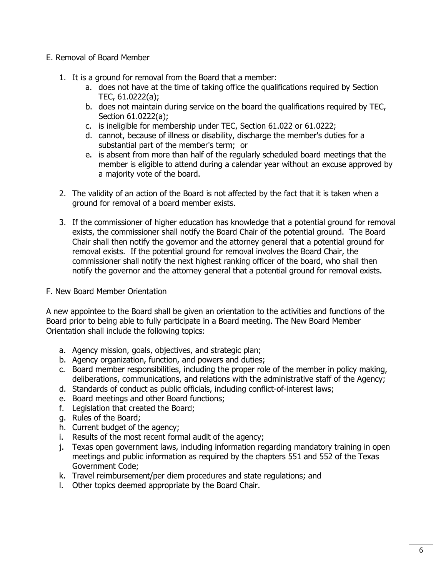#### E. Removal of Board Member

- 1. It is a ground for removal from the Board that a member:
	- a. does not have at the time of taking office the qualifications required by Section TEC, 61.0222(a);
	- b. does not maintain during service on the board the qualifications required by TEC, Section 61.0222(a);
	- c. is ineligible for membership under TEC, Section 61.022 or 61.0222;
	- d. cannot, because of illness or disability, discharge the member's duties for a substantial part of the member's term; or
	- e. is absent from more than half of the regularly scheduled board meetings that the member is eligible to attend during a calendar year without an excuse approved by a majority vote of the board.
- 2. The validity of an action of the Board is not affected by the fact that it is taken when a ground for removal of a board member exists.
- 3. If the commissioner of higher education has knowledge that a potential ground for removal exists, the commissioner shall notify the Board Chair of the potential ground. The Board Chair shall then notify the governor and the attorney general that a potential ground for removal exists. If the potential ground for removal involves the Board Chair, the commissioner shall notify the next highest ranking officer of the board, who shall then notify the governor and the attorney general that a potential ground for removal exists.
- <span id="page-5-0"></span>F. New Board Member Orientation

A new appointee to the Board shall be given an orientation to the activities and functions of the Board prior to being able to fully participate in a Board meeting. The New Board Member Orientation shall include the following topics:

- a. Agency mission, goals, objectives, and strategic plan;
- b. Agency organization, function, and powers and duties;
- c. Board member responsibilities, including the proper role of the member in policy making, deliberations, communications, and relations with the administrative staff of the Agency;
- d. Standards of conduct as public officials, including conflict-of-interest laws;
- e. Board meetings and other Board functions;
- f. Legislation that created the Board;
- g. Rules of the Board;
- h. Current budget of the agency;
- i. Results of the most recent formal audit of the agency;
- j. Texas open government laws, including information regarding mandatory training in open meetings and public information as required by the chapters 551 and 552 of the Texas Government Code;
- k. Travel reimbursement/per diem procedures and state regulations; and
- l. Other topics deemed appropriate by the Board Chair.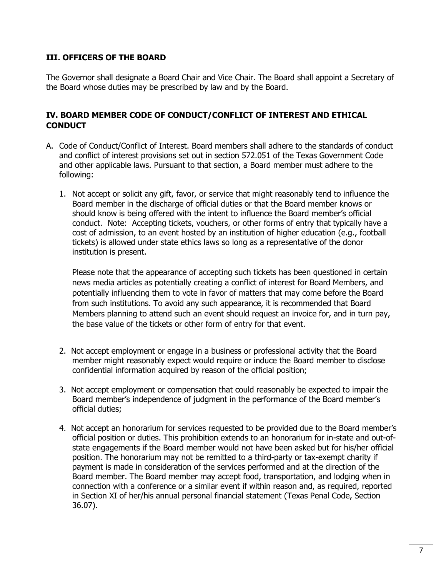## <span id="page-6-0"></span>**III. OFFICERS OF THE BOARD**

The Governor shall designate a Board Chair and Vice Chair. The Board shall appoint a Secretary of the Board whose duties may be prescribed by law and by the Board.

## <span id="page-6-1"></span>**IV. BOARD MEMBER CODE OF CONDUCT/CONFLICT OF INTEREST AND ETHICAL CONDUCT**

- A. Code of Conduct/Conflict of Interest. Board members shall adhere to the standards of conduct and conflict of interest provisions set out in section 572.051 of the Texas Government Code and other applicable laws. Pursuant to that section, a Board member must adhere to the following:
	- 1. Not accept or solicit any gift, favor, or service that might reasonably tend to influence the Board member in the discharge of official duties or that the Board member knows or should know is being offered with the intent to influence the Board member's official conduct. Note: Accepting tickets, vouchers, or other forms of entry that typically have a cost of admission, to an event hosted by an institution of higher education (e.g., football tickets) is allowed under state ethics laws so long as a representative of the donor institution is present.

Please note that the appearance of accepting such tickets has been questioned in certain news media articles as potentially creating a conflict of interest for Board Members, and potentially influencing them to vote in favor of matters that may come before the Board from such institutions. To avoid any such appearance, it is recommended that Board Members planning to attend such an event should request an invoice for, and in turn pay, the base value of the tickets or other form of entry for that event.

- 2. Not accept employment or engage in a business or professional activity that the Board member might reasonably expect would require or induce the Board member to disclose confidential information acquired by reason of the official position;
- 3. Not accept employment or compensation that could reasonably be expected to impair the Board member's independence of judgment in the performance of the Board member's official duties;
- 4. Not accept an honorarium for services requested to be provided due to the Board member's official position or duties. This prohibition extends to an honorarium for in-state and out-ofstate engagements if the Board member would not have been asked but for his/her official position. The honorarium may not be remitted to a third-party or tax-exempt charity if payment is made in consideration of the services performed and at the direction of the Board member. The Board member may accept food, transportation, and lodging when in connection with a conference or a similar event if within reason and, as required, reported in Section XI of her/his annual personal financial statement (Texas Penal Code, Section 36.07).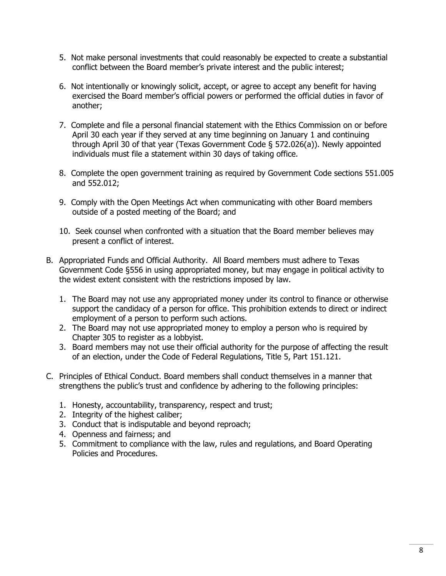- 5. Not make personal investments that could reasonably be expected to create a substantial conflict between the Board member's private interest and the public interest;
- 6. Not intentionally or knowingly solicit, accept, or agree to accept any benefit for having exercised the Board member's official powers or performed the official duties in favor of another;
- 7. Complete and file a personal financial statement with the Ethics Commission on or before April 30 each year if they served at any time beginning on January 1 and continuing through April 30 of that year (Texas Government Code § 572.026(a)). Newly appointed individuals must file a statement within 30 days of taking office.
- 8. Complete the open government training as required by Government Code sections 551.005 and 552.012;
- 9. Comply with the Open Meetings Act when communicating with other Board members outside of a posted meeting of the Board; and
- 10. Seek counsel when confronted with a situation that the Board member believes may present a conflict of interest.
- B. Appropriated Funds and Official Authority. All Board members must adhere to Texas Government Code §556 in using appropriated money, but may engage in political activity to the widest extent consistent with the restrictions imposed by law.
	- 1. The Board may not use any appropriated money under its control to finance or otherwise support the candidacy of a person for office. This prohibition extends to direct or indirect employment of a person to perform such actions.
	- 2. The Board may not use appropriated money to employ a person who is required by Chapter 305 to register as a lobbyist.
	- 3. Board members may not use their official authority for the purpose of affecting the result of an election, under the Code of Federal Regulations, Title 5, Part 151.121.
- C. Principles of Ethical Conduct. Board members shall conduct themselves in a manner that strengthens the public's trust and confidence by adhering to the following principles:
	- 1. Honesty, accountability, transparency, respect and trust;
	- 2. Integrity of the highest caliber;
	- 3. Conduct that is indisputable and beyond reproach;
	- 4. Openness and fairness; and
	- 5. Commitment to compliance with the law, rules and regulations, and Board Operating Policies and Procedures.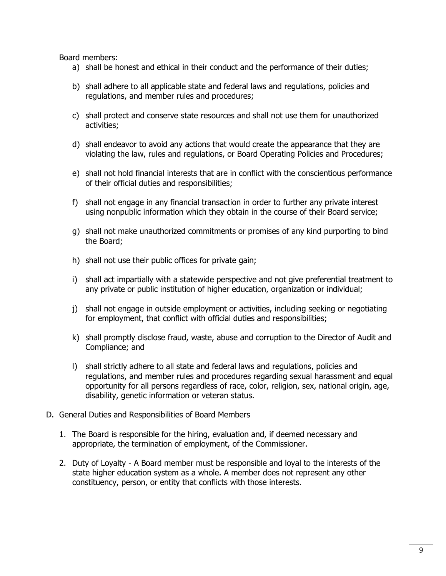Board members:

- a) shall be honest and ethical in their conduct and the performance of their duties;
- b) shall adhere to all applicable state and federal laws and regulations, policies and regulations, and member rules and procedures;
- c) shall protect and conserve state resources and shall not use them for unauthorized activities;
- d) shall endeavor to avoid any actions that would create the appearance that they are violating the law, rules and regulations, or Board Operating Policies and Procedures;
- e) shall not hold financial interests that are in conflict with the conscientious performance of their official duties and responsibilities;
- f) shall not engage in any financial transaction in order to further any private interest using nonpublic information which they obtain in the course of their Board service;
- g) shall not make unauthorized commitments or promises of any kind purporting to bind the Board;
- h) shall not use their public offices for private gain;
- i) shall act impartially with a statewide perspective and not give preferential treatment to any private or public institution of higher education, organization or individual;
- j) shall not engage in outside employment or activities, including seeking or negotiating for employment, that conflict with official duties and responsibilities;
- k) shall promptly disclose fraud, waste, abuse and corruption to the Director of Audit and Compliance; and
- l) shall strictly adhere to all state and federal laws and regulations, policies and regulations, and member rules and procedures regarding sexual harassment and equal opportunity for all persons regardless of race, color, religion, sex, national origin, age, disability, genetic information or veteran status.
- D. General Duties and Responsibilities of Board Members
	- 1. The Board is responsible for the hiring, evaluation and, if deemed necessary and appropriate, the termination of employment, of the Commissioner.
	- 2. Duty of Loyalty A Board member must be responsible and loyal to the interests of the state higher education system as a whole. A member does not represent any other constituency, person, or entity that conflicts with those interests.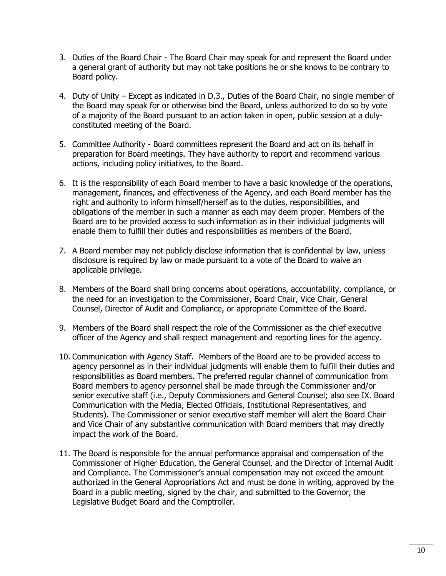- 3. Duties of the Board Chair The Board Chair may speak for and represent the Board under a general grant of authority but may not take positions he or she knows to be contrary to Board policy.
- 4. Duty of Unity Except as indicated in D.3., Duties of the Board Chair, no single member of the Board may speak for or otherwise bind the Board, unless authorized to do so by vote of a majority of the Board pursuant to an action taken in open, public session at a dulyconstituted meeting of the Board.
- 5. Committee Authority Board committees represent the Board and act on its behalf in preparation for Board meetings. They have authority to report and recommend various actions, including policy initiatives, to the Board.
- 6. It is the responsibility of each Board member to have a basic knowledge of the operations, management, finances, and effectiveness of the Agency, and each Board member has the right and authority to inform himself/herself as to the duties, responsibilities, and obligations of the member in such a manner as each may deem proper. Members of the Board are to be provided access to such information as in their individual judgments will enable them to fulfill their duties and responsibilities as members of the Board.
- 7. A Board member may not publicly disclose information that is confidential by law, unless disclosure is required by law or made pursuant to a vote of the Board to waive an applicable privilege.
- 8. Members of the Board shall bring concerns about operations, accountability, compliance, or the need for an investigation to the Commissioner, Board Chair, Vice Chair, General Counsel, Director of Audit and Compliance, or appropriate Committee of the Board.
- 9. Members of the Board shall respect the role of the Commissioner as the chief executive officer of the Agency and shall respect management and reporting lines for the agency.
- 10. Communication with Agency Staff. Members of the Board are to be provided access to agency personnel as in their individual judgments will enable them to fulfill their duties and responsibilities as Board members. The preferred regular channel of communication from Board members to agency personnel shall be made through the Commissioner and/or senior executive staff (i.e., Deputy Commissioners and General Counsel; also see IX. Board Communication with the Media, Elected Officials, Institutional Representatives, and Students). The Commissioner or senior executive staff member will alert the Board Chair and Vice Chair of any substantive communication with Board members that may directly impact the work of the Board.
- 11. The Board is responsible for the annual performance appraisal and compensation of the Commissioner of Higher Education, the General Counsel, and the Director of Internal Audit and Compliance. The Commissioner's annual compensation may not exceed the amount authorized in the General Appropriations Act and must be done in writing, approved by the Board in a public meeting, signed by the chair, and submitted to the Governor, the Legislative Budget Board and the Comptroller.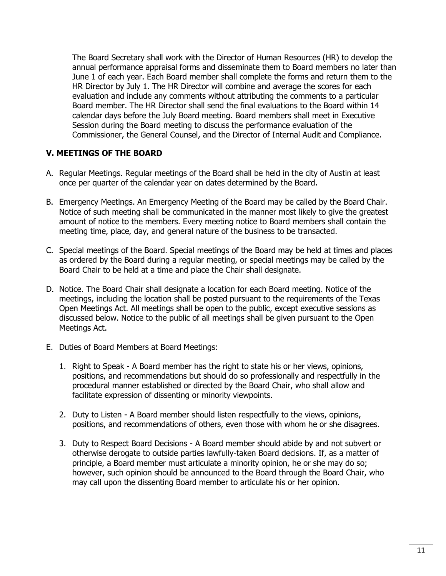The Board Secretary shall work with the Director of Human Resources (HR) to develop the annual performance appraisal forms and disseminate them to Board members no later than June 1 of each year. Each Board member shall complete the forms and return them to the HR Director by July 1. The HR Director will combine and average the scores for each evaluation and include any comments without attributing the comments to a particular Board member. The HR Director shall send the final evaluations to the Board within 14 calendar days before the July Board meeting. Board members shall meet in Executive Session during the Board meeting to discuss the performance evaluation of the Commissioner, the General Counsel, and the Director of Internal Audit and Compliance.

#### <span id="page-10-0"></span>**V. MEETINGS OF THE BOARD**

- A. Regular Meetings. Regular meetings of the Board shall be held in the city of Austin at least once per quarter of the calendar year on dates determined by the Board.
- B. Emergency Meetings. An Emergency Meeting of the Board may be called by the Board Chair. Notice of such meeting shall be communicated in the manner most likely to give the greatest amount of notice to the members. Every meeting notice to Board members shall contain the meeting time, place, day, and general nature of the business to be transacted.
- C. Special meetings of the Board. Special meetings of the Board may be held at times and places as ordered by the Board during a regular meeting, or special meetings may be called by the Board Chair to be held at a time and place the Chair shall designate.
- D. Notice. The Board Chair shall designate a location for each Board meeting. Notice of the meetings, including the location shall be posted pursuant to the requirements of the Texas Open Meetings Act. All meetings shall be open to the public, except executive sessions as discussed below. Notice to the public of all meetings shall be given pursuant to the Open Meetings Act.
- E. Duties of Board Members at Board Meetings:
	- 1. Right to Speak A Board member has the right to state his or her views, opinions, positions, and recommendations but should do so professionally and respectfully in the procedural manner established or directed by the Board Chair, who shall allow and facilitate expression of dissenting or minority viewpoints.
	- 2. Duty to Listen A Board member should listen respectfully to the views, opinions, positions, and recommendations of others, even those with whom he or she disagrees.
	- 3. Duty to Respect Board Decisions A Board member should abide by and not subvert or otherwise derogate to outside parties lawfully-taken Board decisions. If, as a matter of principle, a Board member must articulate a minority opinion, he or she may do so; however, such opinion should be announced to the Board through the Board Chair, who may call upon the dissenting Board member to articulate his or her opinion.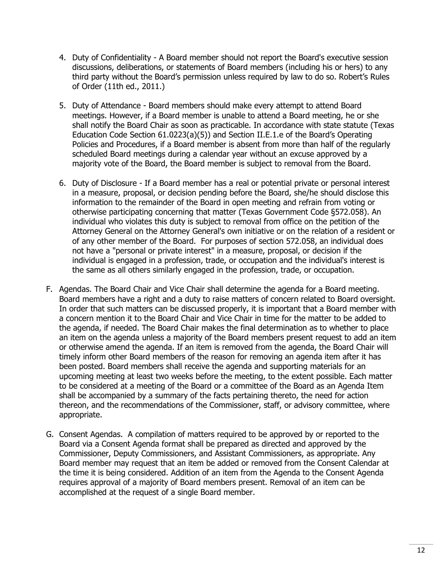- 4. Duty of Confidentiality A Board member should not report the Board's executive session discussions, deliberations, or statements of Board members (including his or hers) to any third party without the Board's permission unless required by law to do so. Robert's Rules of Order (11th ed., 2011.)
- 5. Duty of Attendance Board members should make every attempt to attend Board meetings. However, if a Board member is unable to attend a Board meeting, he or she shall notify the Board Chair as soon as practicable. In accordance with state statute (Texas Education Code Section 61.0223(a)(5)) and Section II.E.1.e of the Board's Operating Policies and Procedures, if a Board member is absent from more than half of the regularly scheduled Board meetings during a calendar year without an excuse approved by a majority vote of the Board, the Board member is subject to removal from the Board.
- 6. Duty of Disclosure If a Board member has a real or potential private or personal interest in a measure, proposal, or decision pending before the Board, she/he should disclose this information to the remainder of the Board in open meeting and refrain from voting or otherwise participating concerning that matter (Texas Government Code §572.058). An individual who violates this duty is subject to removal from office on the petition of the Attorney General on the Attorney General's own initiative or on the relation of a resident or of any other member of the Board. For purposes of section 572.058, an individual does not have a "personal or private interest" in a measure, proposal, or decision if the individual is engaged in a profession, trade, or occupation and the individual's interest is the same as all others similarly engaged in the profession, trade, or occupation.
- F. Agendas. The Board Chair and Vice Chair shall determine the agenda for a Board meeting. Board members have a right and a duty to raise matters of concern related to Board oversight. In order that such matters can be discussed properly, it is important that a Board member with a concern mention it to the Board Chair and Vice Chair in time for the matter to be added to the agenda, if needed. The Board Chair makes the final determination as to whether to place an item on the agenda unless a majority of the Board members present request to add an item or otherwise amend the agenda. If an item is removed from the agenda, the Board Chair will timely inform other Board members of the reason for removing an agenda item after it has been posted. Board members shall receive the agenda and supporting materials for an upcoming meeting at least two weeks before the meeting, to the extent possible. Each matter to be considered at a meeting of the Board or a committee of the Board as an Agenda Item shall be accompanied by a summary of the facts pertaining thereto, the need for action thereon, and the recommendations of the Commissioner, staff, or advisory committee, where appropriate.
- G. Consent Agendas. A compilation of matters required to be approved by or reported to the Board via a Consent Agenda format shall be prepared as directed and approved by the Commissioner, Deputy Commissioners, and Assistant Commissioners, as appropriate. Any Board member may request that an item be added or removed from the Consent Calendar at the time it is being considered. Addition of an item from the Agenda to the Consent Agenda requires approval of a majority of Board members present. Removal of an item can be accomplished at the request of a single Board member.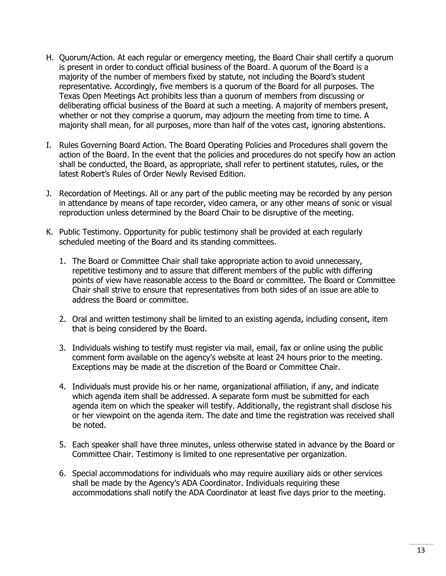- H. Quorum/Action. At each regular or emergency meeting, the Board Chair shall certify a quorum is present in order to conduct official business of the Board. A quorum of the Board is a majority of the number of members fixed by statute, not including the Board's student representative. Accordingly, five members is a quorum of the Board for all purposes. The Texas Open Meetings Act prohibits less than a quorum of members from discussing or deliberating official business of the Board at such a meeting. A majority of members present, whether or not they comprise a quorum, may adjourn the meeting from time to time. A majority shall mean, for all purposes, more than half of the votes cast, ignoring abstentions.
- I. Rules Governing Board Action. The Board Operating Policies and Procedures shall govern the action of the Board. In the event that the policies and procedures do not specify how an action shall be conducted, the Board, as appropriate, shall refer to pertinent statutes, rules, or the latest Robert's Rules of Order Newly Revised Edition.
- J. Recordation of Meetings. All or any part of the public meeting may be recorded by any person in attendance by means of tape recorder, video camera, or any other means of sonic or visual reproduction unless determined by the Board Chair to be disruptive of the meeting.
- K. Public Testimony. Opportunity for public testimony shall be provided at each regularly scheduled meeting of the Board and its standing committees.
	- 1. The Board or Committee Chair shall take appropriate action to avoid unnecessary, repetitive testimony and to assure that different members of the public with differing points of view have reasonable access to the Board or committee. The Board or Committee Chair shall strive to ensure that representatives from both sides of an issue are able to address the Board or committee.
	- 2. Oral and written testimony shall be limited to an existing agenda, including consent, item that is being considered by the Board.
	- 3. Individuals wishing to testify must register via mail, email, fax or online using the public comment form available on the agency's website at least 24 hours prior to the meeting. Exceptions may be made at the discretion of the Board or Committee Chair.
	- 4. Individuals must provide his or her name, organizational affiliation, if any, and indicate which agenda item shall be addressed. A separate form must be submitted for each agenda item on which the speaker will testify. Additionally, the registrant shall disclose his or her viewpoint on the agenda item. The date and time the registration was received shall be noted.
	- 5. Each speaker shall have three minutes, unless otherwise stated in advance by the Board or Committee Chair. Testimony is limited to one representative per organization.
	- 6. Special accommodations for individuals who may require auxiliary aids or other services shall be made by the Agency's ADA Coordinator. Individuals requiring these accommodations shall notify the ADA Coordinator at least five days prior to the meeting.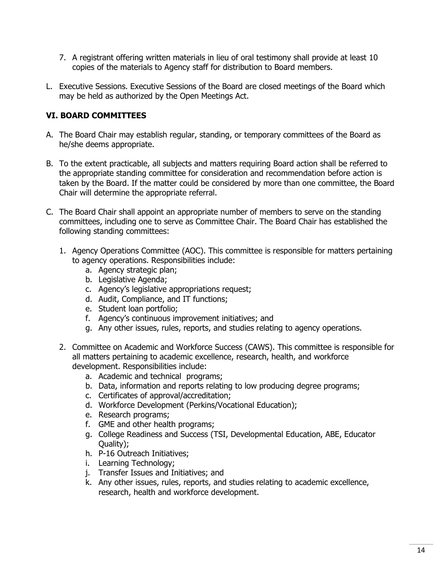- 7. A registrant offering written materials in lieu of oral testimony shall provide at least 10 copies of the materials to Agency staff for distribution to Board members.
- L. Executive Sessions. Executive Sessions of the Board are closed meetings of the Board which may be held as authorized by the Open Meetings Act.

# <span id="page-13-0"></span>**VI. BOARD COMMITTEES**

- A. The Board Chair may establish regular, standing, or temporary committees of the Board as he/she deems appropriate.
- B. To the extent practicable, all subjects and matters requiring Board action shall be referred to the appropriate standing committee for consideration and recommendation before action is taken by the Board. If the matter could be considered by more than one committee, the Board Chair will determine the appropriate referral.
- C. The Board Chair shall appoint an appropriate number of members to serve on the standing committees, including one to serve as Committee Chair. The Board Chair has established the following standing committees:
	- 1. Agency Operations Committee (AOC). This committee is responsible for matters pertaining to agency operations. Responsibilities include:
		- a. Agency strategic plan;
		- b. Legislative Agenda;
		- c. Agency's legislative appropriations request;
		- d. Audit, Compliance, and IT functions;
		- e. Student loan portfolio;
		- f. Agency's continuous improvement initiatives; and
		- g. Any other issues, rules, reports, and studies relating to agency operations.
	- 2. Committee on Academic and Workforce Success (CAWS). This committee is responsible for all matters pertaining to academic excellence, research, health, and workforce development. Responsibilities include:
		- a. Academic and technical programs;
		- b. Data, information and reports relating to low producing degree programs;
		- c. Certificates of approval/accreditation;
		- d. Workforce Development (Perkins/Vocational Education);
		- e. Research programs;
		- f. GME and other health programs;
		- g. College Readiness and Success (TSI, Developmental Education, ABE, Educator Quality);
		- h. P-16 Outreach Initiatives;
		- i. Learning Technology;
		- j. Transfer Issues and Initiatives; and
		- k. Any other issues, rules, reports, and studies relating to academic excellence, research, health and workforce development.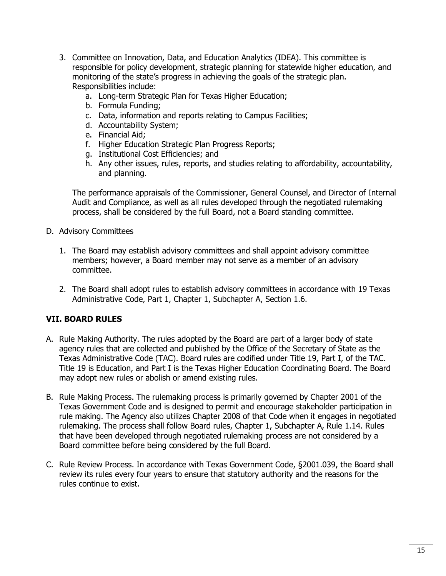- 3. Committee on Innovation, Data, and Education Analytics (IDEA). This committee is responsible for policy development, strategic planning for statewide higher education, and monitoring of the state's progress in achieving the goals of the strategic plan. Responsibilities include:
	- a. Long-term Strategic Plan for Texas Higher Education;
	- b. Formula Funding;
	- c. Data, information and reports relating to Campus Facilities;
	- d. Accountability System;
	- e. Financial Aid;
	- f. Higher Education Strategic Plan Progress Reports;
	- g. Institutional Cost Efficiencies; and
	- h. Any other issues, rules, reports, and studies relating to affordability, accountability, and planning.

The performance appraisals of the Commissioner, General Counsel, and Director of Internal Audit and Compliance, as well as all rules developed through the negotiated rulemaking process, shall be considered by the full Board, not a Board standing committee.

- D. Advisory Committees
	- 1. The Board may establish advisory committees and shall appoint advisory committee members; however, a Board member may not serve as a member of an advisory committee.
	- 2. The Board shall adopt rules to establish advisory committees in accordance with 19 Texas Administrative Code, Part 1, Chapter 1, Subchapter A, Section 1.6.

# <span id="page-14-0"></span>**VII. BOARD RULES**

- A. Rule Making Authority. The rules adopted by the Board are part of a larger body of state agency rules that are collected and published by the Office of the Secretary of State as the Texas Administrative Code (TAC). Board rules are codified under Title 19, Part I, of the TAC. Title 19 is Education, and Part I is the Texas Higher Education Coordinating Board. The Board may adopt new rules or abolish or amend existing rules.
- B. Rule Making Process. The rulemaking process is primarily governed by Chapter 2001 of the Texas Government Code and is designed to permit and encourage stakeholder participation in rule making. The Agency also utilizes Chapter 2008 of that Code when it engages in negotiated rulemaking. The process shall follow Board rules, Chapter 1, Subchapter A, Rule 1.14. Rules that have been developed through negotiated rulemaking process are not considered by a Board committee before being considered by the full Board.
- C. Rule Review Process. In accordance with Texas Government Code, §2001.039, the Board shall review its rules every four years to ensure that statutory authority and the reasons for the rules continue to exist.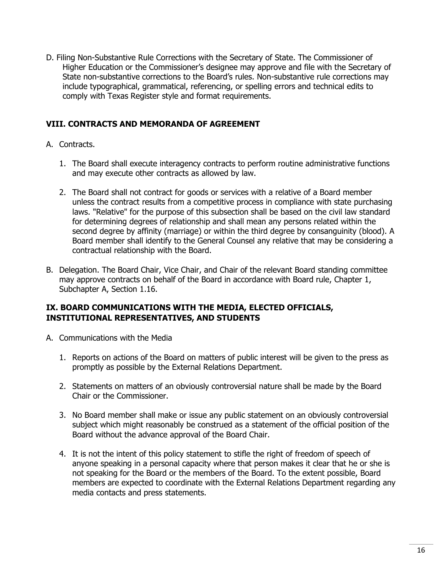D. Filing Non-Substantive Rule Corrections with the Secretary of State. The Commissioner of Higher Education or the Commissioner's designee may approve and file with the Secretary of State non-substantive corrections to the Board's rules. Non-substantive rule corrections may include typographical, grammatical, referencing, or spelling errors and technical edits to comply with Texas Register style and format requirements.

## <span id="page-15-0"></span>**VIII. CONTRACTS AND MEMORANDA OF AGREEMENT**

- A. Contracts.
	- 1. The Board shall execute interagency contracts to perform routine administrative functions and may execute other contracts as allowed by law.
	- 2. The Board shall not contract for goods or services with a relative of a Board member unless the contract results from a competitive process in compliance with state purchasing laws. "Relative" for the purpose of this subsection shall be based on the civil law standard for determining degrees of relationship and shall mean any persons related within the second degree by affinity (marriage) or within the third degree by consanguinity (blood). A Board member shall identify to the General Counsel any relative that may be considering a contractual relationship with the Board.
- B. Delegation. The Board Chair, Vice Chair, and Chair of the relevant Board standing committee may approve contracts on behalf of the Board in accordance with Board rule, Chapter 1, Subchapter A, Section 1.16.

# <span id="page-15-1"></span>**IX. BOARD COMMUNICATIONS WITH THE MEDIA, ELECTED OFFICIALS, INSTITUTIONAL REPRESENTATIVES, AND STUDENTS**

- A. Communications with the Media
	- 1. Reports on actions of the Board on matters of public interest will be given to the press as promptly as possible by the External Relations Department.
	- 2. Statements on matters of an obviously controversial nature shall be made by the Board Chair or the Commissioner.
	- 3. No Board member shall make or issue any public statement on an obviously controversial subject which might reasonably be construed as a statement of the official position of the Board without the advance approval of the Board Chair.
	- 4. It is not the intent of this policy statement to stifle the right of freedom of speech of anyone speaking in a personal capacity where that person makes it clear that he or she is not speaking for the Board or the members of the Board. To the extent possible, Board members are expected to coordinate with the External Relations Department regarding any media contacts and press statements.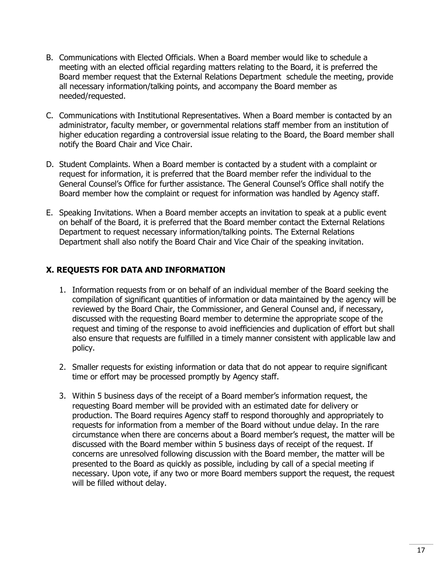- B. Communications with Elected Officials. When a Board member would like to schedule a meeting with an elected official regarding matters relating to the Board, it is preferred the Board member request that the External Relations Department schedule the meeting, provide all necessary information/talking points, and accompany the Board member as needed/requested.
- C. Communications with Institutional Representatives. When a Board member is contacted by an administrator, faculty member, or governmental relations staff member from an institution of higher education regarding a controversial issue relating to the Board, the Board member shall notify the Board Chair and Vice Chair.
- D. Student Complaints. When a Board member is contacted by a student with a complaint or request for information, it is preferred that the Board member refer the individual to the General Counsel's Office for further assistance. The General Counsel's Office shall notify the Board member how the complaint or request for information was handled by Agency staff.
- E. Speaking Invitations. When a Board member accepts an invitation to speak at a public event on behalf of the Board, it is preferred that the Board member contact the External Relations Department to request necessary information/talking points. The External Relations Department shall also notify the Board Chair and Vice Chair of the speaking invitation.

# <span id="page-16-0"></span>**X. REQUESTS FOR DATA AND INFORMATION**

- 1. Information requests from or on behalf of an individual member of the Board seeking the compilation of significant quantities of information or data maintained by the agency will be reviewed by the Board Chair, the Commissioner, and General Counsel and, if necessary, discussed with the requesting Board member to determine the appropriate scope of the request and timing of the response to avoid inefficiencies and duplication of effort but shall also ensure that requests are fulfilled in a timely manner consistent with applicable law and policy.
- 2. Smaller requests for existing information or data that do not appear to require significant time or effort may be processed promptly by Agency staff.
- 3. Within 5 business days of the receipt of a Board member's information request, the requesting Board member will be provided with an estimated date for delivery or production. The Board requires Agency staff to respond thoroughly and appropriately to requests for information from a member of the Board without undue delay. In the rare circumstance when there are concerns about a Board member's request, the matter will be discussed with the Board member within 5 business days of receipt of the request. If concerns are unresolved following discussion with the Board member, the matter will be presented to the Board as quickly as possible, including by call of a special meeting if necessary. Upon vote, if any two or more Board members support the request, the request will be filled without delay.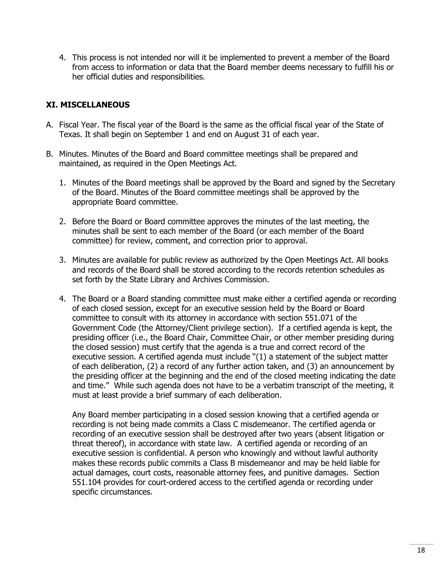4. This process is not intended nor will it be implemented to prevent a member of the Board from access to information or data that the Board member deems necessary to fulfill his or her official duties and responsibilities.

## <span id="page-17-0"></span>**XI. MISCELLANEOUS**

- A. Fiscal Year. The fiscal year of the Board is the same as the official fiscal year of the State of Texas. It shall begin on September 1 and end on August 31 of each year.
- B. Minutes. Minutes of the Board and Board committee meetings shall be prepared and maintained, as required in the Open Meetings Act.
	- 1. Minutes of the Board meetings shall be approved by the Board and signed by the Secretary of the Board. Minutes of the Board committee meetings shall be approved by the appropriate Board committee.
	- 2. Before the Board or Board committee approves the minutes of the last meeting, the minutes shall be sent to each member of the Board (or each member of the Board committee) for review, comment, and correction prior to approval.
	- 3. Minutes are available for public review as authorized by the Open Meetings Act. All books and records of the Board shall be stored according to the records retention schedules as set forth by the State Library and Archives Commission.
	- 4. The Board or a Board standing committee must make either a certified agenda or recording of each closed session, except for an executive session held by the Board or Board committee to consult with its attorney in accordance with section 551.071 of the Government Code (the Attorney/Client privilege section). If a certified agenda is kept, the presiding officer (i.e., the Board Chair, Committee Chair, or other member presiding during the closed session) must certify that the agenda is a true and correct record of the executive session. A certified agenda must include "(1) a statement of the subject matter of each deliberation, (2) a record of any further action taken, and (3) an announcement by the presiding officer at the beginning and the end of the closed meeting indicating the date and time." While such agenda does not have to be a verbatim transcript of the meeting, it must at least provide a brief summary of each deliberation.

Any Board member participating in a closed session knowing that a certified agenda or recording is not being made commits a Class C misdemeanor. The certified agenda or recording of an executive session shall be destroyed after two years (absent litigation or threat thereof), in accordance with state law. A certified agenda or recording of an executive session is confidential. A person who knowingly and without lawful authority makes these records public commits a Class B misdemeanor and may be held liable for actual damages, court costs, reasonable attorney fees, and punitive damages. Section 551.104 provides for court-ordered access to the certified agenda or recording under specific circumstances.